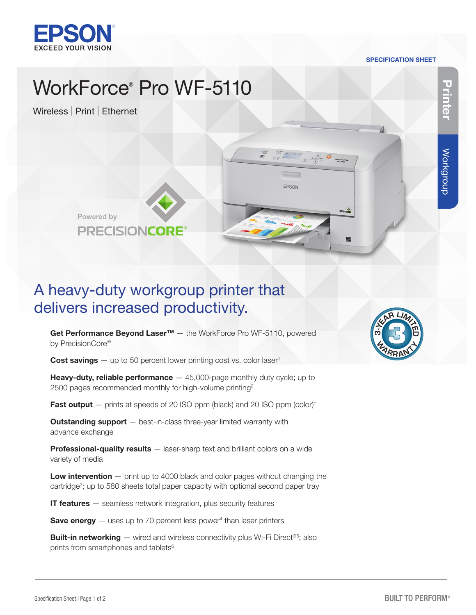

#### SPECIFICATION SHEET

EPSON

# WorkForce® Pro WF-5110

Wireless | Print | Ethernet



Powered by **PRECISIONCORE** 

## A heavy-duty workgroup printer that delivers increased productivity.

Get Performance Beyond Laser<sup>™</sup> - the WorkForce Pro WF-5110, powered by PrecisionCore®

**Cost savings**  $-$  up to 50 percent lower printing cost vs. color laser<sup>1</sup>

**Heavy-duty, reliable performance**  $-45,000$ -page monthly duty cycle; up to 2500 pages recommended monthly for high-volume printing<sup>2</sup>

**Fast output**  $-$  prints at speeds of 20 ISO ppm (black) and 20 ISO ppm (color)<sup>†</sup>

**Outstanding support** - best-in-class three-year limited warranty with advance exchange

Professional-quality results – laser-sharp text and brilliant colors on a wide variety of media

**Low intervention**  $-$  print up to 4000 black and color pages without changing the cartridge<sup>3</sup>; up to 580 sheets total paper capacity with optional second paper tray

**IT features**  $-$  seamless network integration, plus security features

**Save energy**  $-$  uses up to 70 percent less power<sup>4</sup> than laser printers

**Built-in networking**  $-$  wired and wireless connectivity plus Wi-Fi Direct®<sup>5</sup>; also prints from smartphones and tablets<sup>6</sup>